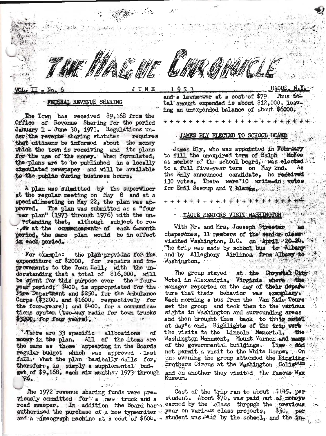JUNE

## FEDERAL REVENUE SHARING

The Town has received \$9,168 from the Office of Revenue Sharing for the period January 1 - June 30, 1973. Regulations under the revenue sharing statutes requires that citizens be informed about the money which the town is receiving and its plans for the use of the money. When formulated, the plans are to be published in a locally cimculated newspaper and will be available to the public during business hours.

A plan was submitted by the supervisor at the regular meeting on May 8 and at a special meeting on May 22, the plan was ap-The plan was submitted as a "four proved. ear plan" (1973 through 1976) with the unrstanding that, although subject to resw at the commencement of each 6-month period, the same plan would be in effect in each period.

For example: the plan provides for the expenditure of \$2000. for repairs and improvements to the Town Hall, with the understanding that a total of \$16,000. will be spent for this purpose over the fouryear period; \$400. is appropriated for the Fire Department and \$250. for the Ambulance Corps (\$3200. and \$1600. respectively for the four-years); and \$400. for a communications system (two-way radio for town trucks \$3200. for four years).

There are 33 specific allocations of money in the plan. All of the items are the same as those appearing in the Boards regular budget which was approved last fall. What the plan basically calls for, therefore, is simply a supplemental budget of \$9,168. each six months. 1973 through  $76 -$ 

The 1972 revenue sharing funds were previously committed for a new truck and a road sweeper. In addition the Board has authorized the purchase of a new typewriter and a mimeograph machine at a cost of \$604.

+ + + + + + + + + +

and a lawnmower at a cost of  $$79$ . Thus to tal amount expended is about \$12,000. leaving an unexpended balance of about \$6000.

### JAMES BLY ELECTED TO SCHOOL ROARD

James Bly, who was appointed in February to fill the unexpired term of Ralph Mokes as member of the school board, was elected to a full five-year term on May 2nd. As the brily announced candidate, he received 130 votes. There were 10 write-in votes for Emil Seerup and 7 blanks.

### HAGUE SENIORS VISIT WASHINGTON

With Mr. and Mrs. Joeseph Streeter chaperones, 11 members of the senior class" visited Washington, D.C. on April 20-24. The trip was made by school bus to Albany and by Allegheny Airlines from Albany to Washington. 计功能 元。

The group stayed at the Chrystal City Motel in Alexandria, Virginia where the manager reported on the day of their depart ture that their behavior was exemplary. Each morning a bus from the Van Zile Tours met the group and took them to the various sights in Washington and surrounding areas and then brought them back to their motel. at day's end. Highlights of the trip were the visits to the Lincoln Memorial, the Washington Monument, Mount Vernon and many of the governmental buildings. Time did not permit a visit to the White House. On one evening the group attended the Ringling. Brothers Circus at the Washington Coliseum and on another they visited the famous Wax Museum.

Cost of the trip ran to about  $$145.$  per student. About \$70. was paid out of moneys earned by the class through the previous  $$50<sub>o</sub>$  per **Jear on varie<sup>4s</sup> class projects,** student was  $P$ aid by the school, and the in-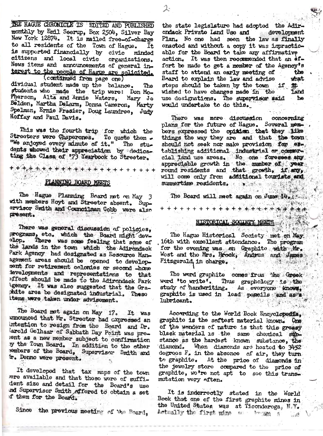THE HAGUE CHRONICLE IS EDITED AND PUBLISHED monthly by Emil Seerup, Box 2504, Silver Bay New York 12874. It is mailed free-of-charge to all residents of the Town of Hague. It is supported financially by civic minded citizens and local civic organizations. News items and announcements of general interest to the people of Hague are solicited.

(continued from page one) dividual student made up the balance. The students who made the trip were: Don Mo-Pherson, Alta and Annie Waters, Mary Jo Belden, Martha DeLarm, Donna Cameron, Marty Spelman, Ernie Frasier, Doug Laundree, Judy Hoffay and Paul Davis.

This was the fourth trip for which the<br>Streeters were Chaperones. To quote them -"We anjoyed every minute of it." The students whowed their appreciation by dedicating the Class of '73 Yearbook to Streeter.

PLANNING BOARD MEETS

The Hague Planning Board met on May 3 with members Hoyt and Streeter absent. Supervisor Smith and Councilman Cobb were also present.

There was general discussion of policies, programs, etc. which the Board might develop. There was some feeling that some of the lands in the town which the Adirondack Park Agency had designated as Resource Management areas should be opened to development for retirement colonies or second -home levelopments and representations to that effect should be made to the Adirondack Park Agency. It was also suggested that the Grachite area be designated industrial. These items, were taken under advisement.

The Board met again on May 17. It was unnounced that Mr. Streeter had oxpressed an intention to resign from the Board and Dr. larold Golhaar of Sabbath Day Point was present as a new member subject to confirmation ry the Town Board. In addition to the other rembers of the Board, Supervisor Smith and tr. Donno were present.

It developed that tax maps of the town mere available and that those were of suffident size and detail for the Board's use and Supervisor Smith offered to obtain a set If them for the Board.

Since the previous meeting of the Board,

the state legislature had adopted the Adirdevelopment ondack Private Land Use and Plan. No one had seen the law as finally enactod and without a copy it was impracticable for the Board to take any affirmative action. It was then recommended that an effort be made to get a member of the Agency's staff to attend an early meeting of the Board to explain the law and advise what steps should be taken by the town if # wished to have changes made in the land use designations. The supervisor said he would undertake to do this.

 $\lambda$ :

There was more discussion concerning plans for the future of Hague. Several members expressed the opinion that they like things the way they are and that the town should not seek nor make provision for extablishing additional industrial or commercial land use areas. No one foresees any appreciable growth in the mumber of year round residents and that growth, if any, will come only from additional tourists and summertime residents. . . .

The Board will meet again on June 14. 13. A STANDAR 

# HISTORICAL SOCIETY MEETS

The Hague Historical Society met on May:<br>16th with excellent attendance. The program for the evening was on Graphite with Mr. West and the Mrs. Brook, Andrus and James<br>Fitzgerald in charge. Fitzgerald in charge.

The word graphite comes from the Greek word 'to write'. Thus graphology is the study of handwriting. As everyone knows, graphite is used in lead pencils and as a lubricant.

According to the World Book Encyclopedia. graphite is the softest material known. One of the wonders of nature is that this greasy black material is the same chomical substance as the hardest known substance, the diamond. When diamonds are heated to 3452 degroes F. in the absonce of air, they turn to graphite. At the price of diamonds in the jewelry store compared to the price of graphite, we're not apt to see this trans. mutation very aften.

It is indorrectly stated in the World Book that one of the first graphite mines in the United States was at Ticonderoga, N.Y. Actually the first mine a loom a 山都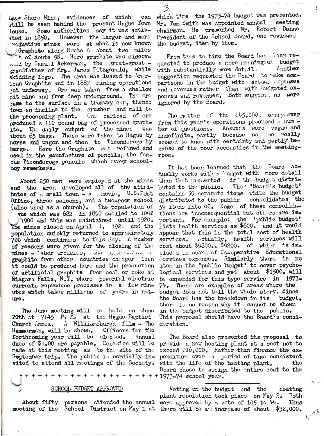Law Shore Mine, evidences of which can still be seen behind the present Hague Town louse. Some authorities say it was activ-However the larger and more  $^{16}$ ated in 1850. woductive mines were at what is now known Graphite along Route 8 about two miles . of Route 9N. Here graphite was discovby Samuel Ackerman, the great-great grandfather of Mrs. James Fitzgerald, while skidding logs. The area was leased to American Graphite and in 1887 mining operations got underway. Ore was taken from a shallow pit mine and from deep underground. The ore came to the surface in a tramway car, thenco lown an incline to the crusher and mill to the processing plant. One carload of ore produced a 110 pound bag of processed graphite. The daily output of the mines was about 65 bags. These were taken to Hague by horse and wagon and then to Ticondoroga by barge. Here the Graphite was refined and used in the manufacture of pencils, the famous Ticonderoga pencils which every schoolboy remembers.

About 250 men were employed at the mines and the area developed all of the attributes of a small town = a movie,  $U_{\bullet}S_{\bullet}P{\rm det}$ Office, three saloons, and a two-room school (also used as a church). The population of which was 682 in 1890 swelled to 1042

1900 and this was maintained until 1920. The mines closed on April 1, 1921 and the population quickly returned to approximately 700 which continues to this day. A number of reasons were given for the closing of the mines - labor troubles, the maporential or graphite from other countries cheaper than it could be produced here and the production of artificial graphite from coal or coke at Miagara Falls, N.Y. where powerful electric currents reproduce processes in a few minutes which takes millions of years in nature.

The June mooting will be held on June 20th at  $7:45$  P. M. at the Hague Baptist Church Annex. A Williamsburgh film The Hammerman, will be shown. Officers for the forthcoming year will be elected. Annual dues of \$1.00 are payable. Decision will be made at this meeting as to the site of the September trip. The public is cordially invited to attend all meetings of the Society.

### SCHOOL BUDGET APPROVED

About fifty persons attended the annual were approved by a vote of 105 to  $44\cdot$ 

which time the 1973-74 budget was presented. meeting Mr. Tom Smith was appointed annual chairman. He presented Mr. Robert Denno President of the School Board, who reviewed the budget, item by item.

From time to time the Board has been requested to produce a more meaningful budget with substantially more detail. Another suggestion requested the Board to make comparisons in the budget with actual expenses and rovenues rather than with budgeted exponses and revenues. Both suggestions were ignored by the Board.

The matter of the  $445,000$ , carry-over from this year's operations produced a num bor of questions. Answers wore vague and indefinite, partly because no the really seemed to know with certainty and partly because of the poor accoustics in the meetingroom.

It has boen learned that the Board actually works with a budget with more dotail than that presented in the budget distri-<br>buted to the public. The 'Board's budget' contains 59 separate items while the budget distributed to the public consolidates the 59 items into 42. Some of these consolidations are inconsequential but others are important. For example: the 'public budget' lists health services as \$600. and it would appear that this is the total cost of health services. Actually, health services will cost about \$9800., \$9200. of which is included in Board of Co-operative Educational Sorvices expenses. Similarly there is no item in the 'public budget' to cover psychological services and yet about \$1500. will be expended for this type service in 1973-74. These are examples of areas where the budget does not tell the whole story. Since the Board has the breakdown in its budget, there is no reason why it cannot be shown in the budget distributed to the public. This proposal should have the Board's considoration.

The Board also prosented its proposal to provide a new heating plant at a cost not to excood \$16,000. Rathor than finance the expenditure over a period of time consistent with the life of the heating plant, tho Board chose to assign the entire cost to the 

Voting on the budget and the heating plant resolution took place on May 2. Both Thus mooting of the School District on May 1 at there will be a increase of about \$32,000.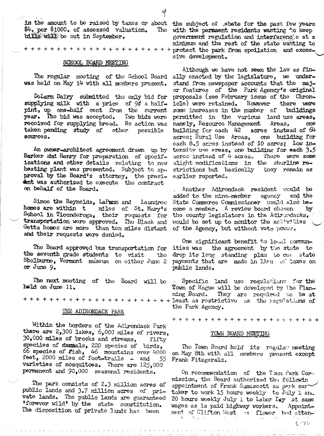in the amount to be raised by taxes or about the subject of ebate for the past few years \$4. per \$1000. of assessed valuation. bills will be out in September.

### SCHOOL BOARD MEETING

The rogular mooting of the School Board was held on May 14 with all mombers present.

DoLarm Dairy submitted the only bid for supplying milk with a price of  $94$  a halfpint, up one-half cent from the current Two bids were year. The bid was accepted. received for supplying bread. No action was taken pending study of other possible sources.

An owner-architect agreement drawn up by Barker and Henry for preparation of specifications and other details relating to new heating plant was presented. Subject to ap. proval by the Board's attorney, the presiont was authorized to execute the contract on behalf of the Board.

Since the Reynolds, LaPann and Laundroo homes are within t miles of St. Mary's School in Ticondoroga, their requests for<br>transportation were approved. The Black and Getta homes are more than ton miles distant and their requests were denied.

The Board approved bus transportation for the seventh grade students to visit tho Sholburne, Vermont museum on either June 2 or June 9.

The next meeting of the Board will be held on June 11.

# THE ADIRONDACK PARK

Within the borders of the Adirondack Park there are 2,300 lakes, 6,000 miles of rivers, 30.000 miles of brooks and streams, fifty speciies of marmals, 220 species of birds, 66 species of fish,  $46$  mountains over  $4000$ <br>feet, 2000 miles of foot-trails - and 55 55 varieties of mosquitoes. There are 125,000 permanent and 90,000 seasonal residents.

The park consists of 2.3 million acres of public lands and 3.7 million acres of private lands. The public lands are guaranteed 'forever wild' by the state constitution. The disposition of private lands has been

The with the permaent residents wanting to keep government regulation and interferencie at a minimum and the rest of the state wanting to protect the park from spoilation and excessive development.

Although we have not seen the law as finally enacted by the legislature, we understand from newspaper accounts that the major features of the Park Agency's original proposals (see February issue of the Chronicle) were retained. However there were some increases in the number of buildings permitted in the various land use areas, namely, Resource Management Areas, one building for each 42 acres instead of  $64$ acres: Rural Use Aroas, one building for each 8.5 acres instead of 10 acres; Low intensity use areas, one building for each 3.5 acros instead of 4 acros. There were some slight modifications in the shorline restrictions but basically they remain as earlier reported.

Another Adirondack resident would be added to the nine-member agency and the State Commerce Commissioner would also become a member. A review board chosen by the county legislators in the Adirondacks, would be set up to monitor the activities of the Agency, but without veto power.

One significant benefit to local communities was the agreement by the state to drop its long standing plan to cut state payments that are made in Lieu of taxes on public lands.

Specific land use regulations for the Town of Hague will be doveloped by the Planning Board. They are required to be at the Park Agency.

### TOWN BOARD MEETING

The Town Board hold its regular meeting on May 8th with all members present except Frank Fitzgerald.

On rocommendation of the Town Park Commission, the Board authorized the followin appointment of Frank Samascott as park cartaker to work 15 hours wookly to July 1 and 20 hours wookly July 1 to Labor Ley at same wages as is paid highway workers. Appointment of Clifton Wost as flower bod atten-

 $(73)$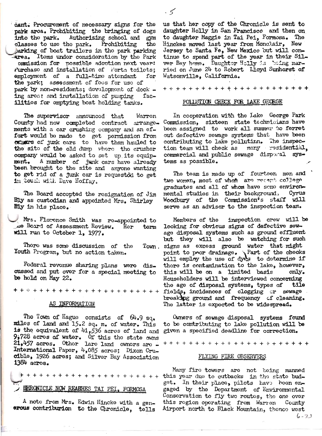dant. Procurement of necessary signs for the park area. Prohibiting the bringing of dogs into the park. Authorizing school and gym classes to use the park. Prohibiting the parking of boat trailers in the park parking area. Itoms under consideration by the Park ommission for possible adoption next vear: rurchaso and installation of Forta toilots; employment of a full-time attendant for the park: assessment of foos for use of park by non-residents; development of dock ing area: and installation of pumping facilitios for emptying boat holding tanks.

The supervisor announced that Warron County had now completed contract arrangements with a car crushing company and an effort would be made to get permission from<br>OK2007S of junk cars to have them hauled to the site of the old dump where the crusher company would be asked to set up its equipment. A number of junk cars have already been brought to the site and anyone wanting to get rid of a junk car is requested to get in touch with Dave Hoffay.

The Board accopted the resignation of Jim Bly as custodian and appointed Mrs. Shirley Bly in his place.

Mrs. Florence Smith was re-appointed to  $\mathcal{A}$  board of Assessment Review. Hor term will run to October 1, 1977.

Thore was some discussion of the Town. Youth Program, but no action taken.

Federal revonue sharing plans were discussed and put over for a special meeting to be hold on May 22.

+ + + + + + + + + + + + + + + +

### AS INFORMATION

The Town of Hague consists of  $64.9$  sq. miles of land and 15.2 sq. m. of water. This is the equivalent of 41,536 acros of land and  $9,728$  acros of water. Of this the state owns  $21,457$  acros. Othor lare land owners are -International Paper, 4,085 acros; Dixon Crucible, 1926 acres; and Silver Bay Association 1384 acros.

# EHRONICLE NOW REARNES TAI PEI, FORMOSA

A note from Mrs. Edwin Hincke with a generous contriburion to the Chronicle, tells us that her copy of the Chronicle is sent to daughter Holly in San Francisco and then on to daughter Maggie in Tai Pei, Formosa. The Hinckes moved last year from Monclair, New Jersey to Santa Fe, New Mexico out will continue to spend part of the year in their Silver Bay home. Daughtor Holly is "soing married on June 24 to Robert Lloyd Sunhorst of Watsonville, California.

 $\sim$  5

#### POLLUTION CHECK FOR LAKE GEORGE

In cooperation with the Lake George Park Commission, sixteen state technicians have been assigned to work all summer to ferret out defective sewage systems that have been contributing to lake pollutinn. The inspec-<br>tion team will check as many residential. commercial and public sewage disporal systems as possible.

The team is made up of fourteen men and two women, most of whom are recent college graduates and all of whom have some environmental studies in their background, Cyrus<br>Woodbury of the Commission's staff will serve as an advisor to the inspection team.

Members of the inspection crew will be looking for obvious signs of defective sewage disposal systems such as ground effluent but they will also be watching for such signs as excess ground water that might point to poor drainage. Part of the checks<br>will employ the use of dyes to determine if there is contamination to the lake, however, this will be on a limited basis only. Householders will be interviewed concerning the age of disposal systems, types of tile fields, incidences of clogging or sewage breaking ground and frequency of cleaning. The latter is expected to be widespread.

 $0$ wners of sewage disposal systems found to be contributing to lake pollution will be given a specified deadline for correction.

+++++++++++++++++++++++

#### FLYING FIRE OBSERVERS

Many fire towers are not being manned this year due to cutbacks in the state budget. In their place, pilots have been engaged by the Department of Environmental Conservation to fly two routes, the one over this rogion oporating from Warren County Airport north to Black Mountain, thonce west

 $6 - 73$